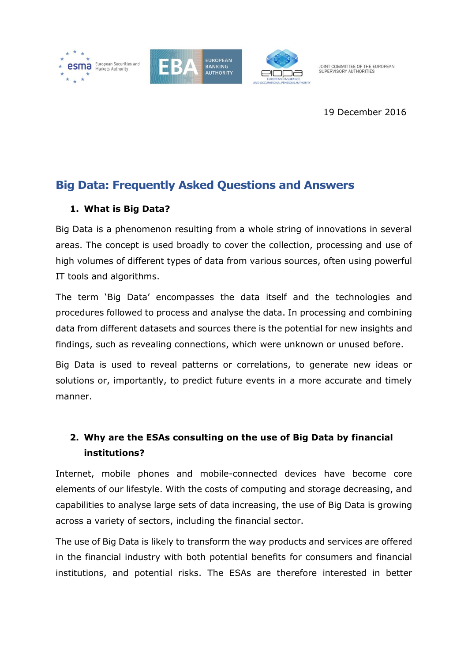

JOINT COMMITTEE OF THE EUROPEAN<br>SUPERVISORY AUTHORITIES

19 December 2016

# **Big Data: Frequently Asked Questions and Answers**

## **1. What is Big Data?**

Big Data is a phenomenon resulting from a whole string of innovations in several areas. The concept is used broadly to cover the collection, processing and use of high volumes of different types of data from various sources, often using powerful IT tools and algorithms.

The term 'Big Data' encompasses the data itself and the technologies and procedures followed to process and analyse the data. In processing and combining data from different datasets and sources there is the potential for new insights and findings, such as revealing connections, which were unknown or unused before.

Big Data is used to reveal patterns or correlations, to generate new ideas or solutions or, importantly, to predict future events in a more accurate and timely manner.

## **2. Why are the ESAs consulting on the use of Big Data by financial institutions?**

Internet, mobile phones and mobile-connected devices have become core elements of our lifestyle. With the costs of computing and storage decreasing, and capabilities to analyse large sets of data increasing, the use of Big Data is growing across a variety of sectors, including the financial sector.

The use of Big Data is likely to transform the way products and services are offered in the financial industry with both potential benefits for consumers and financial institutions, and potential risks. The ESAs are therefore interested in better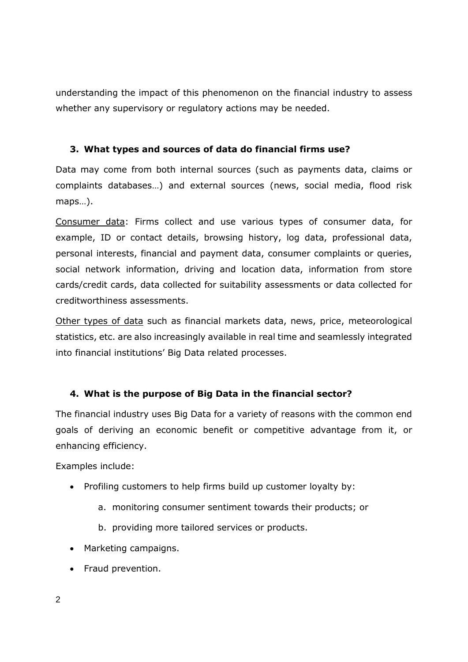understanding the impact of this phenomenon on the financial industry to assess whether any supervisory or regulatory actions may be needed.

#### **3. What types and sources of data do financial firms use?**

Data may come from both internal sources (such as payments data, claims or complaints databases…) and external sources (news, social media, flood risk maps…).

Consumer data: Firms collect and use various types of consumer data, for example, ID or contact details, browsing history, log data, professional data, personal interests, financial and payment data, consumer complaints or queries, social network information, driving and location data, information from store cards/credit cards, data collected for suitability assessments or data collected for creditworthiness assessments.

Other types of data such as financial markets data, news, price, meteorological statistics, etc. are also increasingly available in real time and seamlessly integrated into financial institutions' Big Data related processes.

#### **4. What is the purpose of Big Data in the financial sector?**

The financial industry uses Big Data for a variety of reasons with the common end goals of deriving an economic benefit or competitive advantage from it, or enhancing efficiency.

Examples include:

- Profiling customers to help firms build up customer loyalty by:
	- a. monitoring consumer sentiment towards their products; or
	- b. providing more tailored services or products.
- Marketing campaigns.
- Fraud prevention.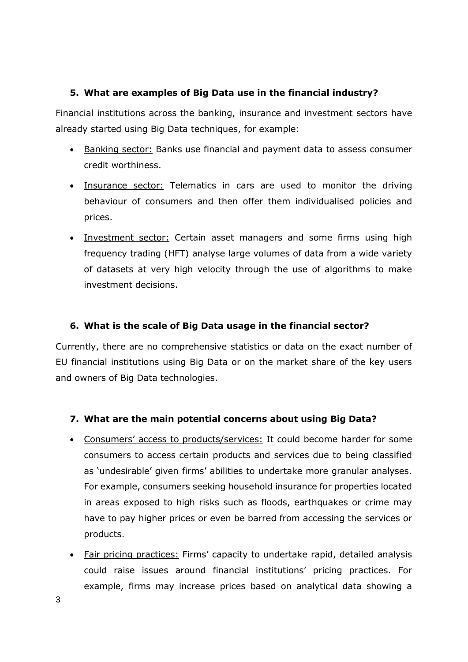#### **5. What are examples of Big Data use in the financial industry?**

Financial institutions across the banking, insurance and investment sectors have already started using Big Data techniques, for example:

- Banking sector: Banks use financial and payment data to assess consumer credit worthiness.
- Insurance sector: Telematics in cars are used to monitor the driving behaviour of consumers and then offer them individualised policies and prices.
- Investment sector: Certain asset managers and some firms using high frequency trading (HFT) analyse large volumes of data from a wide variety of datasets at very high velocity through the use of algorithms to make investment decisions.

### **6. What is the scale of Big Data usage in the financial sector?**

Currently, there are no comprehensive statistics or data on the exact number of EU financial institutions using Big Data or on the market share of the key users and owners of Big Data technologies.

#### **7. What are the main potential concerns about using Big Data?**

- Consumers' access to products/services: It could become harder for some consumers to access certain products and services due to being classified as 'undesirable' given firms' abilities to undertake more granular analyses. For example, consumers seeking household insurance for properties located in areas exposed to high risks such as floods, earthquakes or crime may have to pay higher prices or even be barred from accessing the services or products.
- Fair pricing practices: Firms' capacity to undertake rapid, detailed analysis could raise issues around financial institutions' pricing practices. For example, firms may increase prices based on analytical data showing a